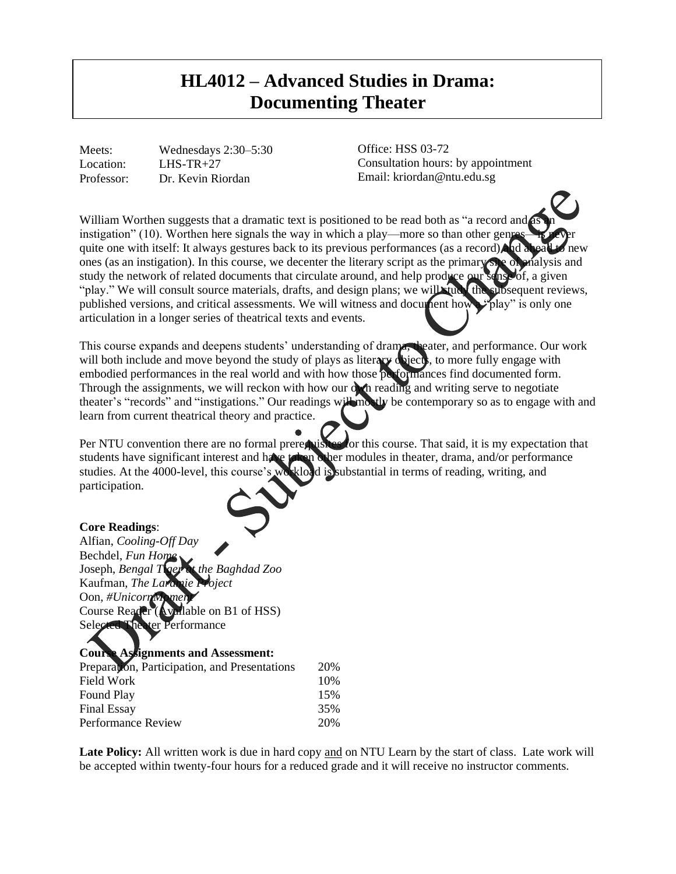## **HL4012 – Advanced Studies in Drama: Documenting Theater**

Meets: Wednesdays 2:30–5:30 Location: LHS-TR+27 Professor: Dr. Kevin Riordan

Office: HSS 03-72 Consultation hours: by appointment Email: kriordan@ntu.edu.sg

William Worthen suggests that a dramatic text is positioned to be read both as "a record and instigation" (10). Worthen here signals the way in which a play—more so than other gene quite one with itself: It always gestures back to its previous performances (as a record) and a ones (as an instigation). In this course, we decenter the literary script as the primary site of analysis and study the network of related documents that circulate around, and help produce our sense of, a given "play." We will consult source materials, drafts, and design plans; we will the subsequent reviews, published versions, and critical assessments. We will witness and document how a "play" is only one articulation in a longer series of theatrical texts and events.

This course expands and deepens students' understanding of drama, theater, and performance. Our work will both include and move beyond the study of plays as literary objects, to more fully engage with embodied performances in the real world and with how those performances find documented form. Through the assignments, we will reckon with how our own reading and writing serve to negotiate theater's "records" and "instigations." Our readings will mostly be contemporary so as to engage with and learn from current theatrical theory and practice.

Per NTU convention there are no formal prerequisites for this course. That said, it is my expectation that students have significant interest and have taken other modules in theater, drama, and/or performance studies. At the 4000-level, this course's workload is substantial in terms of reading, writing, and participation.

## **Core Readings**:

Alfian, *Cooling-Off Day* Bechdel, *Fun Home* Joseph, *Bengal Tiger at the Baghdad Zoo* Kaufman, *The Laramie Project* Oon, *#UnicornMoment* Course Reader (Available on B1 of HSS) Selected Theater Performance

## **Course Assignments and Assessment:**  Preparation, Participation, and Presentations 20% Field Work 10% Found Play 15% Final Essay 35% Performance Review 20%

Late Policy: All written work is due in hard copy and on NTU Learn by the start of class. Late work will be accepted within twenty-four hours for a reduced grade and it will receive no instructor comments.